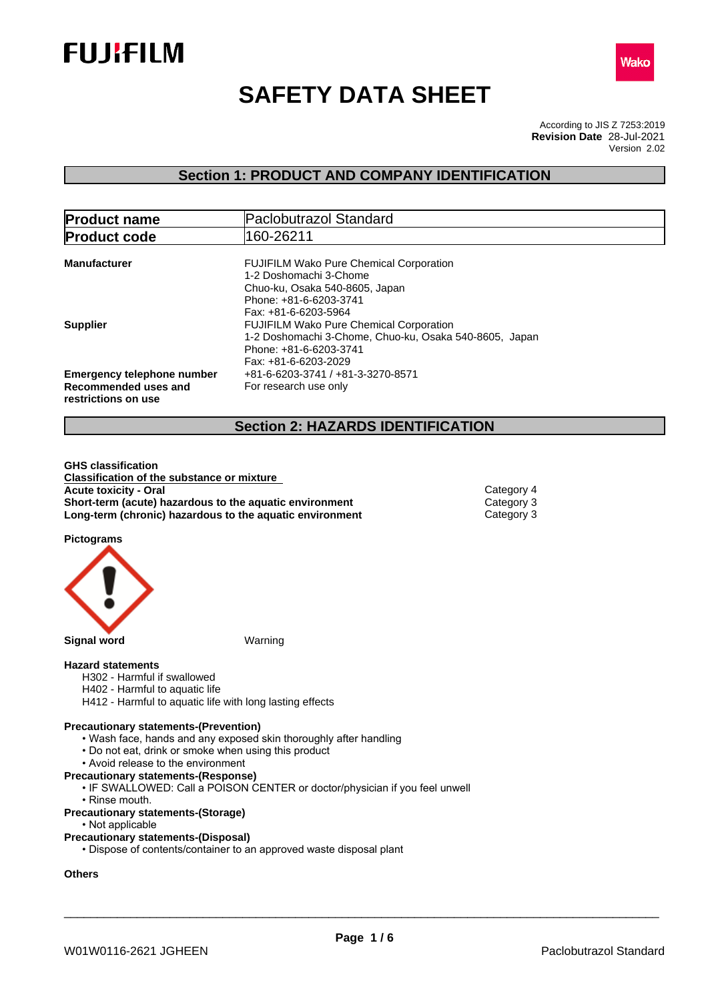



# **SAFETY DATA SHEET**

According to JIS Z 7253:2019 Version 2.02 **Revision Date** 28-Jul-2021

# **Section 1: PRODUCT AND COMPANY IDENTIFICATION**

| <b>Product name</b>                                                              | <b>Paclobutrazol Standard</b>                                                                                                                                |  |
|----------------------------------------------------------------------------------|--------------------------------------------------------------------------------------------------------------------------------------------------------------|--|
| <b>Product code</b>                                                              | 160-26211                                                                                                                                                    |  |
| <b>Manufacturer</b>                                                              | <b>FUJIFILM Wako Pure Chemical Corporation</b><br>1-2 Doshomachi 3-Chome<br>Chuo-ku, Osaka 540-8605, Japan<br>Phone: +81-6-6203-3741<br>Fax: +81-6-6203-5964 |  |
| <b>Supplier</b>                                                                  | <b>FUJIFILM Wako Pure Chemical Corporation</b><br>1-2 Doshomachi 3-Chome, Chuo-ku, Osaka 540-8605, Japan<br>Phone: +81-6-6203-3741<br>Fax: +81-6-6203-2029   |  |
| <b>Emergency telephone number</b><br>Recommended uses and<br>restrictions on use | +81-6-6203-3741 / +81-3-3270-8571<br>For research use only                                                                                                   |  |

# **Section 2: HAZARDS IDENTIFICATION**

**GHS classification Classification of the substance or mixture Acute toxicity - Oral** Category 4 **Short-term (acute) hazardous to the aquatic environment** Category 3<br> **Long-term (chronic) hazardous to the aquatic environment** Category 3 **Long-term (chronic) hazardous to the aquatic environment** 

**Pictograms**



#### **Hazard statements**

- H302 Harmful if swallowed
- H402 Harmful to aquatic life
- H412 Harmful to aquatic life with long lasting effects

#### **Precautionary statements-(Prevention)**

- Wash face, hands and any exposed skin thoroughly after handling
- Do not eat, drink or smoke when using this product
- Avoid release to the environment
- **Precautionary statements-(Response)**
	- IF SWALLOWED: Call a POISON CENTER or doctor/physician if you feel unwell
	- Rinse mouth.
- **Precautionary statements-(Storage)**
	- Not applicable

#### **Precautionary statements-(Disposal)**

• Dispose of contents/container to an approved waste disposal plant

### **Others**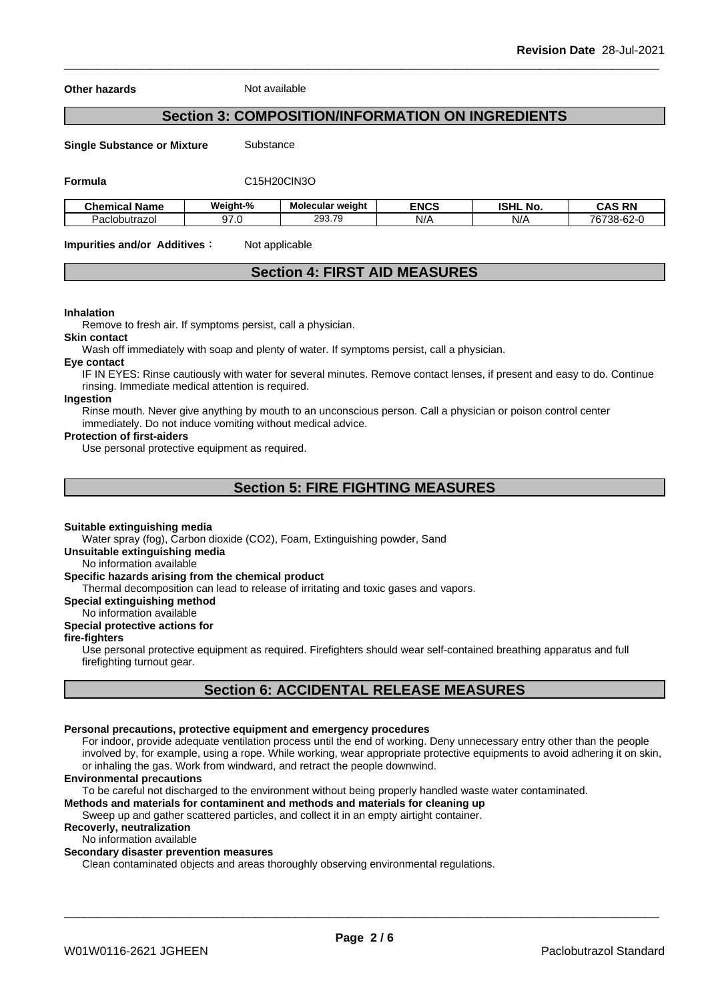**Other hazards** Not available

# **Section 3: COMPOSITION/INFORMATION ON INGREDIENTS**

**Single Substance or Mixture** Substance

**Formula** C15H20ClN3O

| - -<br><b>Chemical Name</b> | Weiaht-%             | Molecular weight                                | <b>ENCS</b> | <b>ICLIL</b><br>.NO<br>וספו | <b>DN</b><br>^<br>-nr<br>ᇅ |
|-----------------------------|----------------------|-------------------------------------------------|-------------|-----------------------------|----------------------------|
| Paclobutrazol               | $\sim$ $\sim$<br>. . | $\rightarrow$<br>מ∩פ<br>.<br>3 <b>2</b> 3 4 5 ف | N/A         | N/A                         | 76738-62-                  |

**Impurities and/or Additives**: Not applicable

### **Section 4: FIRST AID MEASURES**

#### **Inhalation**

Remove to fresh air. If symptoms persist, call a physician.

#### **Skin contact**

Wash off immediately with soap and plenty of water. If symptoms persist, calla physician.

#### **Eye contact**

IF IN EYES: Rinse cautiously with water for several minutes. Remove contact lenses, if present and easy to do. Continue rinsing. Immediate medical attention is required.

#### **Ingestion**

Rinse mouth. Never give anything by mouth to an unconscious person. Call a physician or poison control center immediately. Do not induce vomiting without medical advice.

#### **Protection of first-aiders**

Use personal protective equipment as required.

### **Section 5: FIRE FIGHTING MEASURES**

#### **Suitable extinguishing media**

Water spray (fog), Carbon dioxide (CO2), Foam, Extinguishing powder, Sand

**Unsuitable extinguishing media**

No information available

#### **Specific hazards arising from the chemical product**

Thermal decomposition can lead to release of irritating and toxic gases and vapors.

**Special extinguishing method**

#### No information available

### **Special protective actions for**

#### **fire-fighters**

Use personal protective equipment as required.Firefighters should wear self-contained breathing apparatus and full firefighting turnout gear.

# **Section 6: ACCIDENTAL RELEASE MEASURES**

#### **Personal precautions, protective equipment and emergency procedures**

For indoor, provide adequate ventilation process until the end of working. Deny unnecessary entry other than the people involved by, for example, using a rope. While working, wear appropriate protective equipments to avoid adhering it on skin, or inhaling the gas. Work from windward, and retract the people downwind.

#### **Environmental precautions**

To be careful not discharged to the environment without being properly handled waste water contaminated.

**Methods and materials for contaminent and methods and materials for cleaning up**

Sweep up and gather scattered particles, and collect it in an empty airtight container.

### **Recoverly, neutralization**

No information available

### **Secondary disaster prevention measures**

Clean contaminated objects and areas thoroughly observing environmental regulations.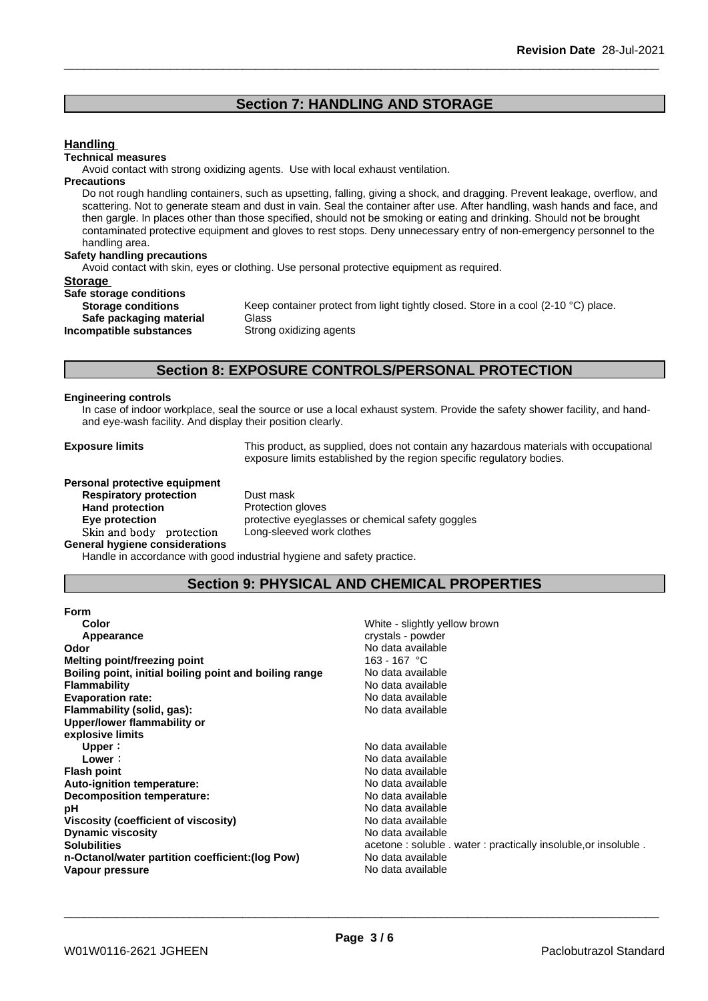### **Section 7: HANDLING AND STORAGE**

#### **Handling**

#### **Technical measures**

Avoid contact with strong oxidizing agents. Use with local exhaust ventilation.

#### **Precautions**

Do not rough handling containers, such as upsetting, falling, giving a shock, and dragging. Prevent leakage, overflow, and scattering. Not to generate steam and dust in vain. Seal the container after use. After handling, wash hands and face, and then gargle. In places other than those specified, should not be smoking or eating and drinking. Should not be brought contaminated protective equipment and gloves to rest stops. Deny unnecessary entry of non-emergency personnel to the handling area.

#### **Safety handling precautions**

Avoid contact with skin, eyes or clothing. Use personal protective equipment as required.

#### **Storage**

**Safe storage conditions**

**Safe packaging material** Glass **Incompatible substances** Strong oxidizing agents

**Storage conditions** Keep container protect from light tightly closed. Store in a cool (2-10 °C) place.

### **Section 8: EXPOSURE CONTROLS/PERSONAL PROTECTION**

#### **Engineering controls**

In case of indoor workplace, seal the source or use a local exhaust system. Provide the safety shower facility, and handand eye-wash facility. And display their position clearly.

**Exposure limits** This product, as supplied, does not contain any hazardous materials with occupational exposure limits established by the region specific regulatory bodies.

**Personal protective equipment Respiratory protection** Dust mask **Hand protection** Protection gloves

**Eye protection** protective eyeglasses or chemical safety goggles **Skinandbody protection** Long-sleeved work clothes

**General hygiene considerations**

Handle in accordance with good industrial hygiene and safety practice.

### **Section 9: PHYSICAL AND CHEMICAL PROPERTIES**

| White - slightly yellow brown                                  |
|----------------------------------------------------------------|
| crystals - powder                                              |
| No data available                                              |
| 163 - 167 °C                                                   |
| No data available                                              |
| No data available                                              |
| No data available                                              |
| No data available                                              |
|                                                                |
|                                                                |
| No data available                                              |
| No data available                                              |
| No data available                                              |
| No data available                                              |
| No data available                                              |
| No data available                                              |
| No data available                                              |
| No data available                                              |
| acetone: soluble . water: practically insoluble, or insoluble. |
| No data available                                              |
| No data available                                              |
|                                                                |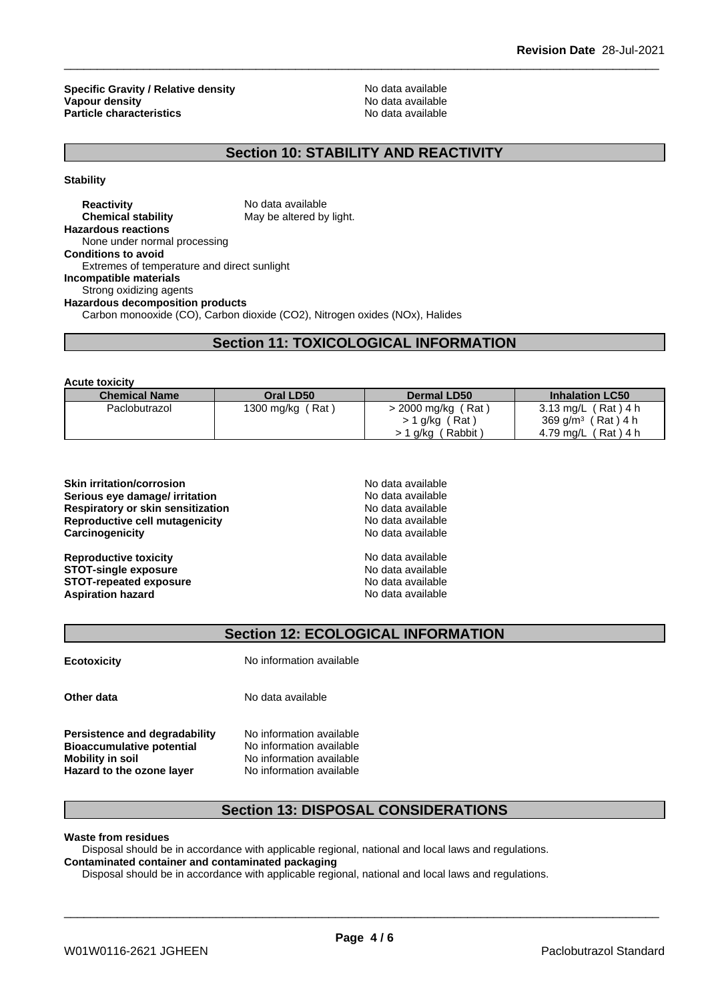**Specific Gravity / Relative density No data available**<br> **Vanour density** No data available **Vapour density**<br> **Particle characteristics**<br> **Particle characteristics**<br> **Particle characteristics Particle characteristics** 

# **Section 10: STABILITY AND REACTIVITY**

**Stability**

**Reactivity Reactivity Reactivity Reactivity Reactivity No data available Chemical stability No data available May be altered by light. Hazardous reactions** None under normal processing **Conditions to avoid** Extremes of temperature and direct sunlight **Incompatible materials** Strong oxidizing agents **Hazardous decomposition products** Carbon monooxide (CO), Carbon dioxide (CO2), Nitrogen oxides (NOx), Halides

# **Section 11: TOXICOLOGICAL INFORMATION**

**Acute toxicity**

| --------------       |                  |                                  |                                |
|----------------------|------------------|----------------------------------|--------------------------------|
| <b>Chemical Name</b> | Oral LD50        | <b>Dermal LD50</b>               | <b>Inhalation LC50</b>         |
| Paclobutrazol        | 1300 mg/kg (Rat) | (Rat)<br>> 2000 mg/kg (          | 3.13 mg/L (Rat) 4 h            |
|                      |                  | >1 g/kg (Rat)                    | 369 g/m <sup>3</sup> (Rat) 4 h |
|                      |                  | (Rabbit <sup>)</sup><br>1 g/kg ( | 4.79 mg/L (Rat) 4 h            |

| <b>Skin irritation/corrosion</b>  |  |
|-----------------------------------|--|
| Serious eye damage/ irritation    |  |
| Respiratory or skin sensitization |  |
| Reproductive cell mutagenicity    |  |
| Carcinogenicity                   |  |
| <b>Reproductive toxicity</b>      |  |
| <b>STOT-single exposure</b>       |  |

**STOT-repeated exposure** No data available **Aspiration hazard** 

**Skin irritation/corrosion** No data available **Serious eye damage/ irritation** No data available **Respiratory or skin sensitization** No data available **Reproductive cell mutagenicity** No data available **Carcinogenicity** No data available **Reproductive toxicity** No data available **STOT-single exposure** No data available

**Section 12: ECOLOGICAL INFORMATION**

**Ecotoxicity** No information available

**Other data** No data available

**Bioaccumulative potential Mobility in soil** No information available **Hazard to the ozone layer** No information available

**Persistence and degradability** No information available<br>**Bioaccumulative potential** No information available

# **Section 13: DISPOSAL CONSIDERATIONS**

**Waste from residues**

Disposal should be in accordance with applicable regional, national and local laws and regulations. **Contaminated container and contaminated packaging**

Disposal should be in accordance with applicable regional, national and local laws and regulations.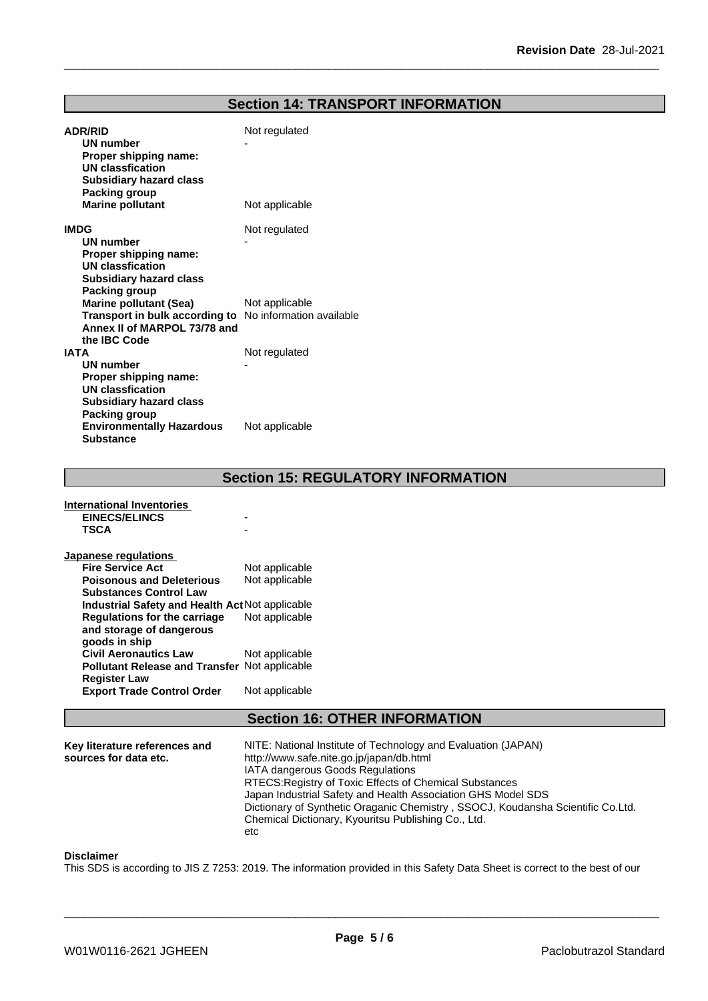# **Section 14: TRANSPORT INFORMATION**

| Not regulated                                                             |
|---------------------------------------------------------------------------|
| Not applicable                                                            |
| Not regulated                                                             |
| Not applicable<br>Transport in bulk according to No information available |
| Not regulated<br>Not applicable                                           |
|                                                                           |

**Section 15: REGULATORY INFORMATION**

| International Inventories                            |                |
|------------------------------------------------------|----------------|
| <b>EINECS/ELINCS</b>                                 |                |
| <b>TSCA</b>                                          |                |
|                                                      |                |
| Japanese regulations                                 |                |
| <b>Fire Service Act</b>                              | Not applicable |
| <b>Poisonous and Deleterious</b>                     | Not applicable |
| <b>Substances Control Law</b>                        |                |
| Industrial Safety and Health Act Not applicable      |                |
| Regulations for the carriage                         | Not applicable |
| and storage of dangerous                             |                |
| goods in ship                                        |                |
| <b>Civil Aeronautics Law</b>                         | Not applicable |
| <b>Pollutant Release and Transfer Not applicable</b> |                |
| Register Law                                         |                |
| <b>Export Trade Control Order</b>                    | Not applicable |
|                                                      |                |

# **Section 16: OTHER INFORMATION**

| RTECS: Registry of Toxic Effects of Chemical Substances                                                                                |
|----------------------------------------------------------------------------------------------------------------------------------------|
| Japan Industrial Safety and Health Association GHS Model SDS                                                                           |
| Dictionary of Synthetic Oraganic Chemistry, SSOCJ, Koudansha Scientific Co.Ltd.<br>Chemical Dictionary, Kyouritsu Publishing Co., Ltd. |
|                                                                                                                                        |

#### **Disclaimer**

This SDS is according to JIS Z 7253: 2019. The information provided in this Safety Data Sheet is correct to the best of our